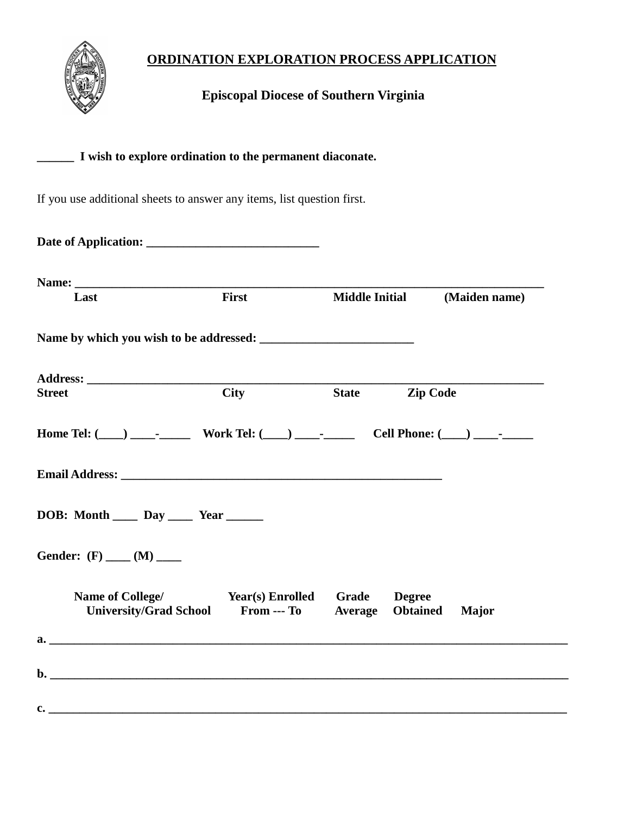# **ORDINATION EXPLORATION PROCESS APPLICATION**



 **Episcopal Diocese of Southern Virginia**

## **\_\_\_\_\_\_ I wish to explore ordination to the permanent diaconate.**

If you use additional sheets to answer any items, list question first.

| Last                                                                              | First       | <b>Middle Initial</b> |                                  | (Maiden name) |
|-----------------------------------------------------------------------------------|-------------|-----------------------|----------------------------------|---------------|
|                                                                                   |             |                       |                                  |               |
|                                                                                   |             |                       |                                  |               |
| <b>Street</b>                                                                     | <b>City</b> | <b>State</b>          | <b>Zip Code</b>                  |               |
| Home Tel: (___) ___________ Work Tel: (___) ___________ Cell Phone: (___) _______ |             |                       |                                  |               |
|                                                                                   |             |                       |                                  |               |
| DOB: Month $\_\_\_$ Day $\_\_\_\$ Year $\_\_\_\_\_$                               |             |                       |                                  |               |
| Gender: $(F)$ ____ $(M)$ ____                                                     |             |                       |                                  |               |
| Name of College/ Year(s) Enrolled Grade<br><b>University/Grad School</b>          | From --- To | <b>Average</b>        | <b>Degree</b><br><b>Obtained</b> | <b>Major</b>  |
|                                                                                   |             |                       |                                  |               |
|                                                                                   |             |                       |                                  |               |
|                                                                                   |             |                       |                                  |               |
| $\mathbf{c}$ . $\blacksquare$                                                     |             |                       |                                  |               |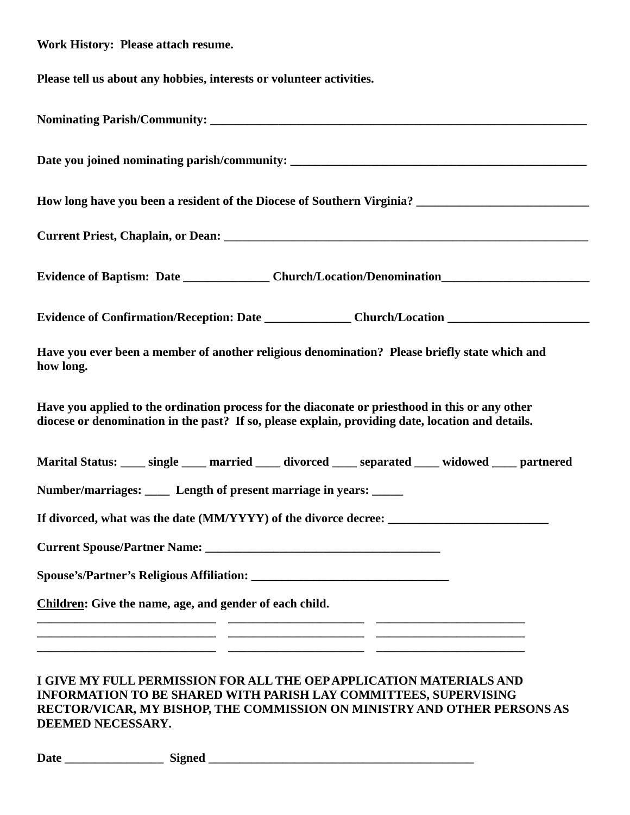| Work History: Please attach resume.                                                                                                                                                                  |  |  |  |  |
|------------------------------------------------------------------------------------------------------------------------------------------------------------------------------------------------------|--|--|--|--|
| Please tell us about any hobbies, interests or volunteer activities.                                                                                                                                 |  |  |  |  |
|                                                                                                                                                                                                      |  |  |  |  |
|                                                                                                                                                                                                      |  |  |  |  |
|                                                                                                                                                                                                      |  |  |  |  |
|                                                                                                                                                                                                      |  |  |  |  |
| Evidence of Baptism: Date ______________________Church/Location/Denomination__________________________________                                                                                       |  |  |  |  |
|                                                                                                                                                                                                      |  |  |  |  |
| Have you ever been a member of another religious denomination? Please briefly state which and<br>how long.                                                                                           |  |  |  |  |
| Have you applied to the ordination process for the diaconate or priesthood in this or any other<br>diocese or denomination in the past? If so, please explain, providing date, location and details. |  |  |  |  |
| Marital Status: ____ single ____ married ____ divorced ____ separated ____ widowed ____ partnered                                                                                                    |  |  |  |  |
| Number/marriages: ____ Length of present marriage in years: _____                                                                                                                                    |  |  |  |  |
|                                                                                                                                                                                                      |  |  |  |  |
|                                                                                                                                                                                                      |  |  |  |  |
|                                                                                                                                                                                                      |  |  |  |  |
| Children: Give the name, age, and gender of each child.                                                                                                                                              |  |  |  |  |
|                                                                                                                                                                                                      |  |  |  |  |
| I GIVE MY FULL PERMISSION FOR ALL THE OEP APPLICATION MATERIALS AND<br>INFORMATION TO BE SHARED WITH PARISH LAY COMMITTEES, SUPERVISING<br>UD JAVEDIGIJOD BIJE GOJA HOGIOV OVIJANJOBDIZ (JED. O      |  |  |  |  |

**RECTOR/VICAR, MY BISHOP, THE COMMISSION ON MINISTRY AND OTHER PERSONS AS DEEMED NECESSARY.**

| <b>Date</b> | oned<br>. .<br>$\sim$ |  |
|-------------|-----------------------|--|
|             |                       |  |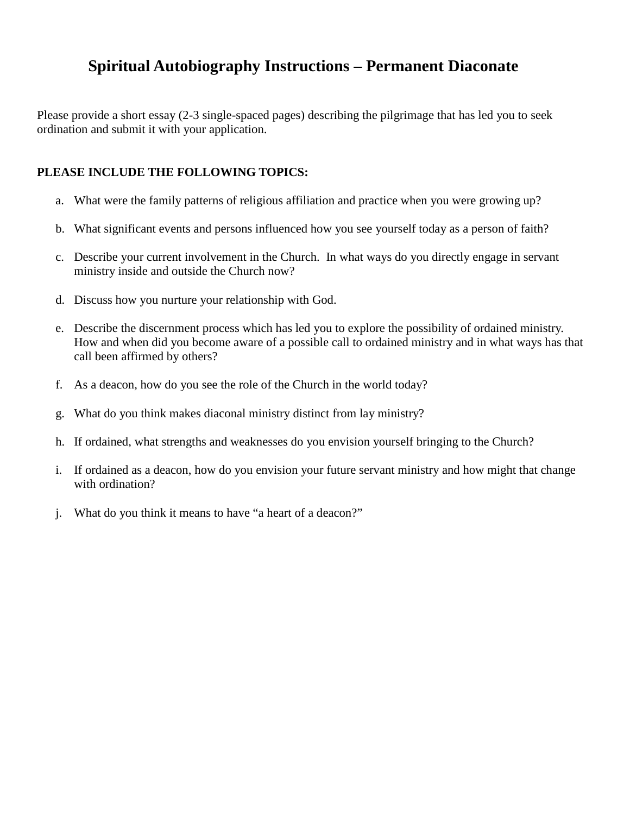# **Spiritual Autobiography Instructions – Permanent Diaconate**

Please provide a short essay (2-3 single-spaced pages) describing the pilgrimage that has led you to seek ordination and submit it with your application.

#### **PLEASE INCLUDE THE FOLLOWING TOPICS:**

- a. What were the family patterns of religious affiliation and practice when you were growing up?
- b. What significant events and persons influenced how you see yourself today as a person of faith?
- c. Describe your current involvement in the Church. In what ways do you directly engage in servant ministry inside and outside the Church now?
- d. Discuss how you nurture your relationship with God.
- e. Describe the discernment process which has led you to explore the possibility of ordained ministry. How and when did you become aware of a possible call to ordained ministry and in what ways has that call been affirmed by others?
- f. As a deacon, how do you see the role of the Church in the world today?
- g. What do you think makes diaconal ministry distinct from lay ministry?
- h. If ordained, what strengths and weaknesses do you envision yourself bringing to the Church?
- i. If ordained as a deacon, how do you envision your future servant ministry and how might that change with ordination?
- j. What do you think it means to have "a heart of a deacon?"